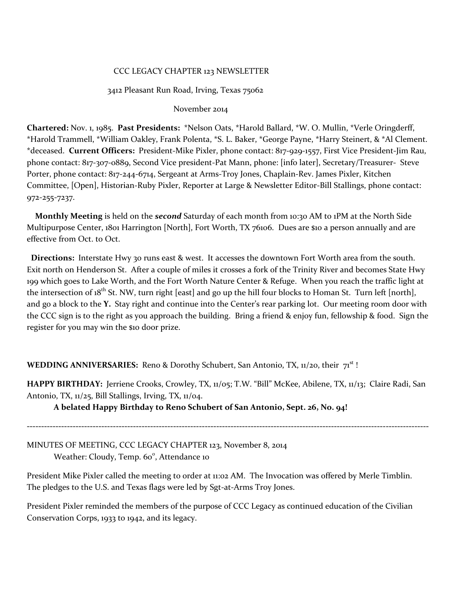#### CCC LEGACY CHAPTER 123 NEWSLETTER

#### 3412 Pleasant Run Road, Irving, Texas 75062

#### November 2014

**Chartered:** Nov. 1, 1985. **Past Presidents:** \*Nelson Oats, \*Harold Ballard, \*W. O. Mullin, \*Verle Oringderff, \*Harold Trammell, \*William Oakley, Frank Polenta, \*S. L. Baker, \*George Payne, \*Harry Steinert, & \*Al Clement. \*deceased. **Current Officers:** President-Mike Pixler, phone contact: 817-929-1557, First Vice President-Jim Rau, phone contact: 817-3o7-0889, Second Vice president-Pat Mann, phone: [info later], Secretary/Treasurer- Steve Porter, phone contact: 817-244-6714, Sergeant at Arms-Troy Jones, Chaplain-Rev. James Pixler, Kitchen Committee, [Open], Historian-Ruby Pixler, Reporter at Large & Newsletter Editor-Bill Stallings, phone contact: 972-255-7237.

 **Monthly Meeting** is held on the *second* Saturday of each month from 10:30 AM to 1PM at the North Side Multipurpose Center, 1801 Harrington [North], Fort Worth, TX 76106. Dues are \$10 a person annually and are effective from Oct. to Oct.

 **Directions:** Interstate Hwy 30 runs east & west. It accesses the downtown Fort Worth area from the south. Exit north on Henderson St. After a couple of miles it crosses a fork of the Trinity River and becomes State Hwy 199 which goes to Lake Worth, and the Fort Worth Nature Center & Refuge. When you reach the traffic light at the intersection of  $18^{th}$  St. NW, turn right [east] and go up the hill four blocks to Homan St. Turn left [north], and go a block to the **Y.** Stay right and continue into the Center's rear parking lot. Our meeting room door with the CCC sign is to the right as you approach the building. Bring a friend & enjoy fun, fellowship & food. Sign the register for you may win the \$10 door prize.

**WEDDING ANNIVERSARIES:** Reno & Dorothy Schubert, San Antonio, TX, 11/20, their  $7^{18}$ !

**HAPPY BIRTHDAY:** Jerriene Crooks, Crowley, TX, 11/05; T.W. "Bill" McKee, Abilene, TX, 11/13; Claire Radi, San Antonio, TX, 11/25, Bill Stallings, Irving, TX, 11/04.

**A belated Happy Birthday to Reno Schubert of San Antonio, Sept. 26, No. 94!**

**--------------------------------------------------------------------------------------------------------------------------------------------**

MINUTES OF MEETING, CCC LEGACY CHAPTER 123, November 8, 2014 Weather: Cloudy, Temp. 60°, Attendance 10

President Mike Pixler called the meeting to order at 11:02 AM. The Invocation was offered by Merle Timblin. The pledges to the U.S. and Texas flags were led by Sgt-at-Arms Troy Jones.

President Pixler reminded the members of the purpose of CCC Legacy as continued education of the Civilian Conservation Corps, 1933 to 1942, and its legacy.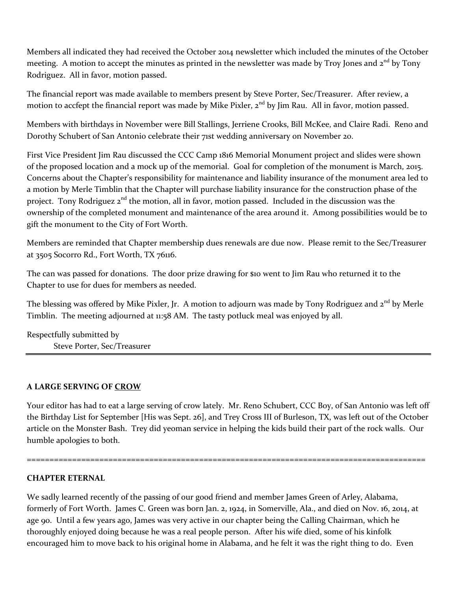Members all indicated they had received the October 2014 newsletter which included the minutes of the October meeting. A motion to accept the minutes as printed in the newsletter was made by Troy Jones and 2<sup>nd</sup> by Tony Rodriguez. All in favor, motion passed.

The financial report was made available to members present by Steve Porter, Sec/Treasurer. After review, a motion to accfept the financial report was made by Mike Pixler,  $2<sup>nd</sup>$  by Jim Rau. All in favor, motion passed.

Members with birthdays in November were Bill Stallings, Jerriene Crooks, Bill McKee, and Claire Radi. Reno and Dorothy Schubert of San Antonio celebrate their 71st wedding anniversary on November 20.

First Vice President Jim Rau discussed the CCC Camp 1816 Memorial Monument project and slides were shown of the proposed location and a mock up of the memorial. Goal for completion of the monument is March, 2015. Concerns about the Chapter's responsibility for maintenance and liability insurance of the monument area led to a motion by Merle Timblin that the Chapter will purchase liability insurance for the construction phase of the project. Tony Rodriguez  $2^{nd}$  the motion, all in favor, motion passed. Included in the discussion was the ownership of the completed monument and maintenance of the area around it. Among possibilities would be to gift the monument to the City of Fort Worth.

Members are reminded that Chapter membership dues renewals are due now. Please remit to the Sec/Treasurer at 3505 Socorro Rd., Fort Worth, TX 76116.

The can was passed for donations. The door prize drawing for \$10 went to Jim Rau who returned it to the Chapter to use for dues for members as needed.

The blessing was offered by Mike Pixler, Jr. A motion to adjourn was made by Tony Rodriguez and 2<sup>nd</sup> by Merle Timblin. The meeting adjourned at 11:58 AM. The tasty potluck meal was enjoyed by all.

Respectfully submitted by Steve Porter, Sec/Treasurer

## **A LARGE SERVING OF CROW**

Your editor has had to eat a large serving of crow lately. Mr. Reno Schubert, CCC Boy, of San Antonio was left off the Birthday List for September [His was Sept. 26], and Trey Cross III of Burleson, TX, was left out of the October article on the Monster Bash. Trey did yeoman service in helping the kids build their part of the rock walls. Our humble apologies to both.

========================================================================================

## **CHAPTER ETERNAL**

We sadly learned recently of the passing of our good friend and member James Green of Arley, Alabama, formerly of Fort Worth. James C. Green was born Jan. 2, 1924, in Somerville, Ala., and died on Nov. 16, 2014, at age 90. Until a few years ago, James was very active in our chapter being the Calling Chairman, which he thoroughly enjoyed doing because he was a real people person. After his wife died, some of his kinfolk encouraged him to move back to his original home in Alabama, and he felt it was the right thing to do. Even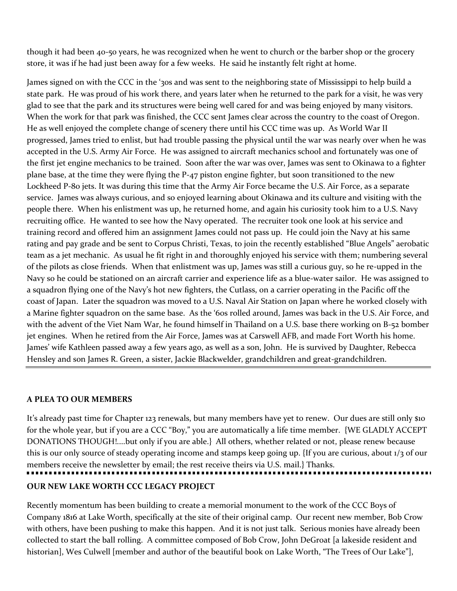though it had been 40-50 years, he was recognized when he went to church or the barber shop or the grocery store, it was if he had just been away for a few weeks. He said he instantly felt right at home.

James signed on with the CCC in the '30s and was sent to the neighboring state of Mississippi to help build a state park. He was proud of his work there, and years later when he returned to the park for a visit, he was very glad to see that the park and its structures were being well cared for and was being enjoyed by many visitors. When the work for that park was finished, the CCC sent James clear across the country to the coast of Oregon. He as well enjoyed the complete change of scenery there until his CCC time was up. As World War II progressed, James tried to enlist, but had trouble passing the physical until the war was nearly over when he was accepted in the U.S. Army Air Force. He was assigned to aircraft mechanics school and fortunately was one of the first jet engine mechanics to be trained. Soon after the war was over, James was sent to Okinawa to a fighter plane base, at the time they were flying the P-47 piston engine fighter, but soon transitioned to the new Lockheed P-80 jets. It was during this time that the Army Air Force became the U.S. Air Force, as a separate service. James was always curious, and so enjoyed learning about Okinawa and its culture and visiting with the people there. When his enlistment was up, he returned home, and again his curiosity took him to a U.S. Navy recruiting office. He wanted to see how the Navy operated. The recruiter took one look at his service and training record and offered him an assignment James could not pass up. He could join the Navy at his same rating and pay grade and be sent to Corpus Christi, Texas, to join the recently established "Blue Angels" aerobatic team as a jet mechanic. As usual he fit right in and thoroughly enjoyed his service with them; numbering several of the pilots as close friends. When that enlistment was up, James was still a curious guy, so he re-upped in the Navy so he could be stationed on an aircraft carrier and experience life as a blue-water sailor. He was assigned to a squadron flying one of the Navy's hot new fighters, the Cutlass, on a carrier operating in the Pacific off the coast of Japan. Later the squadron was moved to a U.S. Naval Air Station on Japan where he worked closely with a Marine fighter squadron on the same base. As the '60s rolled around, James was back in the U.S. Air Force, and with the advent of the Viet Nam War, he found himself in Thailand on a U.S. base there working on B-52 bomber jet engines. When he retired from the Air Force, James was at Carswell AFB, and made Fort Worth his home. James' wife Kathleen passed away a few years ago, as well as a son, John. He is survived by Daughter, Rebecca Hensley and son James R. Green, a sister, Jackie Blackwelder, grandchildren and great-grandchildren.

## **A PLEA TO OUR MEMBERS**

It's already past time for Chapter 123 renewals, but many members have yet to renew. Our dues are still only \$10 for the whole year, but if you are a CCC "Boy," you are automatically a life time member. {WE GLADLY ACCEPT DONATIONS THOUGH!....but only if you are able.} All others, whether related or not, please renew because this is our only source of steady operating income and stamps keep going up. {If you are curious, about 1/3 of our members receive the newsletter by email; the rest receive theirs via U.S. mail.} Thanks. **OUR NEW LAKE WORTH CCC LEGACY PROJECT**

Recently momentum has been building to create a memorial monument to the work of the CCC Boys of Company 1816 at Lake Worth, specifically at the site of their original camp. Our recent new member, Bob Crow with others, have been pushing to make this happen. And it is not just talk. Serious monies have already been collected to start the ball rolling. A committee composed of Bob Crow, John DeGroat [a lakeside resident and historian], Wes Culwell [member and author of the beautiful book on Lake Worth, "The Trees of Our Lake"],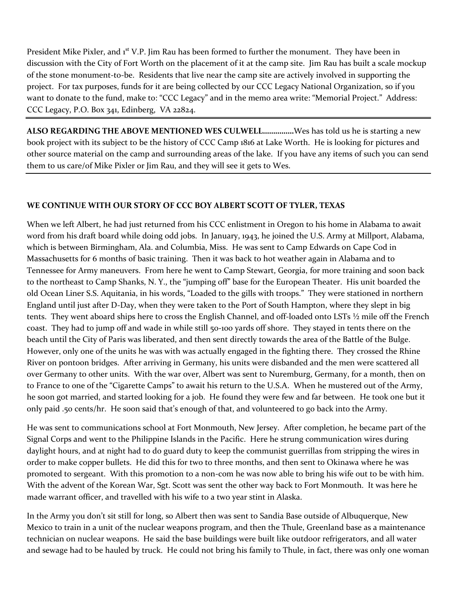President Mike Pixler, and  $i<sup>st</sup> V.P.$  Jim Rau has been formed to further the monument. They have been in discussion with the City of Fort Worth on the placement of it at the camp site. Jim Rau has built a scale mockup of the stone monument-to-be. Residents that live near the camp site are actively involved in supporting the project. For tax purposes, funds for it are being collected by our CCC Legacy National Organization, so if you want to donate to the fund, make to: "CCC Legacy" and in the memo area write: "Memorial Project." Address: CCC Legacy, P.O. Box 341, Edinberg, VA 22824.

**ALSO REGARDING THE ABOVE MENTIONED WES CULWELL……………**Wes has told us he is starting a new book project with its subject to be the history of CCC Camp 1816 at Lake Worth. He is looking for pictures and other source material on the camp and surrounding areas of the lake. If you have any items of such you can send them to us care/of Mike Pixler or Jim Rau, and they will see it gets to Wes.

# **WE CONTINUE WITH OUR STORY OF CCC BOY ALBERT SCOTT OF TYLER, TEXAS**

When we left Albert, he had just returned from his CCC enlistment in Oregon to his home in Alabama to await word from his draft board while doing odd jobs. In January, 1943, he joined the U.S. Army at Millport, Alabama, which is between Birmingham, Ala. and Columbia, Miss. He was sent to Camp Edwards on Cape Cod in Massachusetts for 6 months of basic training. Then it was back to hot weather again in Alabama and to Tennessee for Army maneuvers. From here he went to Camp Stewart, Georgia, for more training and soon back to the northeast to Camp Shanks, N. Y., the "jumping off" base for the European Theater. His unit boarded the old Ocean Liner S.S. Aquitania, in his words, "Loaded to the gills with troops." They were stationed in northern England until just after D-Day, when they were taken to the Port of South Hampton, where they slept in big tents. They went aboard ships here to cross the English Channel, and off-loaded onto LSTs ½ mile off the French coast. They had to jump off and wade in while still 50-100 yards off shore. They stayed in tents there on the beach until the City of Paris was liberated, and then sent directly towards the area of the Battle of the Bulge. However, only one of the units he was with was actually engaged in the fighting there. They crossed the Rhine River on pontoon bridges. After arriving in Germany, his units were disbanded and the men were scattered all over Germany to other units. With the war over, Albert was sent to Nuremburg, Germany, for a month, then on to France to one of the "Cigarette Camps" to await his return to the U.S.A. When he mustered out of the Army, he soon got married, and started looking for a job. He found they were few and far between. He took one but it only paid .50 cents/hr. He soon said that's enough of that, and volunteered to go back into the Army.

He was sent to communications school at Fort Monmouth, New Jersey. After completion, he became part of the Signal Corps and went to the Philippine Islands in the Pacific. Here he strung communication wires during daylight hours, and at night had to do guard duty to keep the communist guerrillas from stripping the wires in order to make copper bullets. He did this for two to three months, and then sent to Okinawa where he was promoted to sergeant. With this promotion to a non-com he was now able to bring his wife out to be with him. With the advent of the Korean War, Sgt. Scott was sent the other way back to Fort Monmouth. It was here he made warrant officer, and travelled with his wife to a two year stint in Alaska.

In the Army you don't sit still for long, so Albert then was sent to Sandia Base outside of Albuquerque, New Mexico to train in a unit of the nuclear weapons program, and then the Thule, Greenland base as a maintenance technician on nuclear weapons. He said the base buildings were built like outdoor refrigerators, and all water and sewage had to be hauled by truck. He could not bring his family to Thule, in fact, there was only one woman